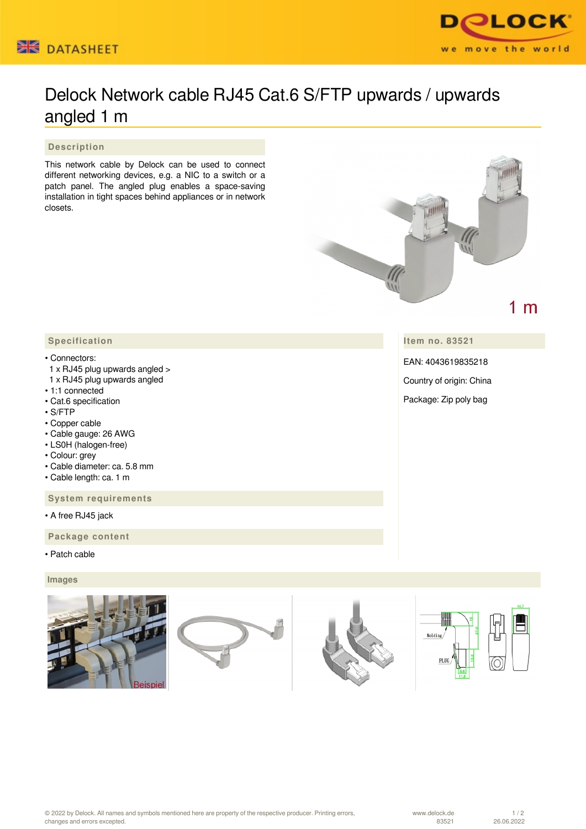



# Delock Network cable RJ45 Cat.6 S/FTP upwards / upwards angled 1 m

 **Description**

This network cable by Delock can be used to connect different networking devices, e.g. a NIC to a switch or a patch panel. The angled plug enables a space-saving installation in tight spaces behind appliances or in network closets.



**Item no. 83521**

EAN: 4043619835218

Country of origin: China

Package: Zip poly bag

# **Specification**

## • Connectors:

- 1 x RJ45 plug upwards angled >
- 1 x RJ45 plug upwards angled
- 1:1 connected
- Cat.6 specification
- S/FTP
- Copper cable
- Cable gauge: 26 AWG
- LS0H (halogen-free)
- Colour: grey
- Cable diameter: ca. 5.8 mm
- Cable length: ca. 1 m

 **System requirements**

• A free RJ45 jack

 **Package content**

• Patch cable

### **Images**